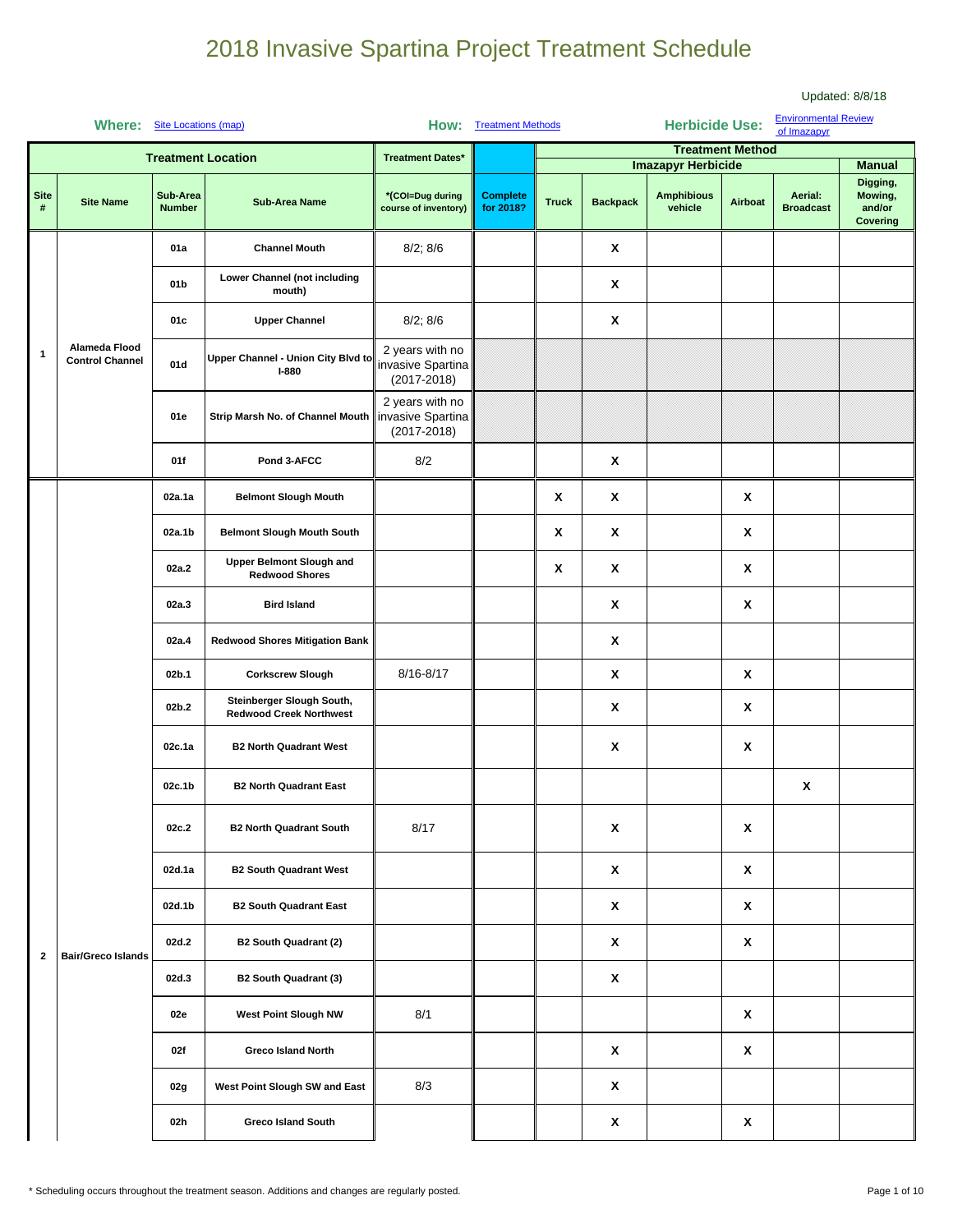|                     | <b>Where:</b>                           | Site Locations (map)      |                                                             | How:                                                    | <b>Treatment Methods</b>     |              |                           | <b>Herbicide Use:</b>                                     |                         | <b>Environmental Review</b><br>of Imazapyr |                                                            |
|---------------------|-----------------------------------------|---------------------------|-------------------------------------------------------------|---------------------------------------------------------|------------------------------|--------------|---------------------------|-----------------------------------------------------------|-------------------------|--------------------------------------------|------------------------------------------------------------|
|                     |                                         |                           | <b>Treatment Location</b>                                   | <b>Treatment Dates*</b>                                 |                              |              |                           |                                                           | <b>Treatment Method</b> |                                            |                                                            |
| <b>Site</b><br>$\#$ | <b>Site Name</b>                        | Sub-Area<br><b>Number</b> | <b>Sub-Area Name</b>                                        | *(COI=Dug during<br>course of inventory)                | <b>Complete</b><br>for 2018? | <b>Truck</b> | <b>Backpack</b>           | <b>Imazapyr Herbicide</b><br><b>Amphibious</b><br>vehicle | Airboat                 | Aerial:<br><b>Broadcast</b>                | <b>Manual</b><br>Digging,<br>Mowing,<br>and/or<br>Covering |
|                     |                                         | 01a                       | <b>Channel Mouth</b>                                        | 8/2; 8/6                                                |                              |              | X                         |                                                           |                         |                                            |                                                            |
|                     |                                         | 01b                       | <b>Lower Channel (not including</b><br>mouth)               |                                                         |                              |              | X                         |                                                           |                         |                                            |                                                            |
|                     |                                         | 01c                       | <b>Upper Channel</b>                                        | 8/2; 8/6                                                |                              |              | X                         |                                                           |                         |                                            |                                                            |
| $\mathbf{1}$        | Alameda Flood<br><b>Control Channel</b> | 01d                       | Upper Channel - Union City Blvd to<br><b>I-880</b>          | 2 years with no<br>invasive Spartina<br>$(2017 - 2018)$ |                              |              |                           |                                                           |                         |                                            |                                                            |
|                     |                                         | 01e                       | Strip Marsh No. of Channel Mouth                            | 2 years with no<br>invasive Spartina<br>$(2017 - 2018)$ |                              |              |                           |                                                           |                         |                                            |                                                            |
|                     |                                         | 01f                       | Pond 3-AFCC                                                 | 8/2                                                     |                              |              | X                         |                                                           |                         |                                            |                                                            |
|                     |                                         | 02a.1a                    | <b>Belmont Slough Mouth</b>                                 |                                                         |                              | X            | X                         |                                                           | X                       |                                            |                                                            |
|                     |                                         | 02a.1b                    | <b>Belmont Slough Mouth South</b>                           |                                                         |                              | X            | X                         |                                                           | X                       |                                            |                                                            |
|                     |                                         | 02a.2                     | <b>Upper Belmont Slough and</b><br><b>Redwood Shores</b>    |                                                         |                              | X            | X                         |                                                           | X                       |                                            |                                                            |
|                     |                                         | 02a.3                     | <b>Bird Island</b>                                          |                                                         |                              |              | X                         |                                                           | X                       |                                            |                                                            |
|                     |                                         | 02a.4                     | <b>Redwood Shores Mitigation Bank</b>                       |                                                         |                              |              | X                         |                                                           |                         |                                            |                                                            |
|                     |                                         | 02b.1                     | <b>Corkscrew Slough</b>                                     | 8/16-8/17                                               |                              |              | X                         |                                                           | X                       |                                            |                                                            |
|                     |                                         | 02b.2                     | Steinberger Slough South,<br><b>Redwood Creek Northwest</b> |                                                         |                              |              | X                         |                                                           | X                       |                                            |                                                            |
|                     |                                         | 02c.1a                    | <b>B2 North Quadrant West</b>                               |                                                         |                              |              | $\boldsymbol{\mathsf{x}}$ |                                                           | X                       |                                            |                                                            |
|                     |                                         | 02c.1b                    | <b>B2 North Quadrant East</b>                               |                                                         |                              |              |                           |                                                           |                         | X                                          |                                                            |
|                     |                                         | 02c.2                     | <b>B2 North Quadrant South</b>                              | 8/17                                                    |                              |              | $\pmb{\mathsf{x}}$        |                                                           | X                       |                                            |                                                            |
|                     |                                         | 02d.1a                    | <b>B2 South Quadrant West</b>                               |                                                         |                              |              | X                         |                                                           | X                       |                                            |                                                            |
|                     |                                         | 02d.1b                    | <b>B2 South Quadrant East</b>                               |                                                         |                              |              | $\mathbf{x}$              |                                                           | $\mathbf x$             |                                            |                                                            |
| $\mathbf{2}$        | <b>Bair/Greco Islands</b>               | 02d.2                     | B2 South Quadrant (2)                                       |                                                         |                              |              | X                         |                                                           | X                       |                                            |                                                            |
|                     |                                         | 02d.3                     | <b>B2 South Quadrant (3)</b>                                |                                                         |                              |              | $\boldsymbol{\mathsf{X}}$ |                                                           |                         |                                            |                                                            |
|                     |                                         | 02e                       | West Point Slough NW                                        | 8/1                                                     |                              |              |                           |                                                           | X                       |                                            |                                                            |
|                     |                                         | 02f                       | <b>Greco Island North</b>                                   |                                                         |                              |              | X                         |                                                           | X                       |                                            |                                                            |
|                     |                                         | 02g                       | West Point Slough SW and East                               | 8/3                                                     |                              |              | X                         |                                                           |                         |                                            |                                                            |
|                     |                                         | 02h                       | <b>Greco Island South</b>                                   |                                                         |                              |              | $\pmb{\mathsf{X}}$        |                                                           | X                       |                                            |                                                            |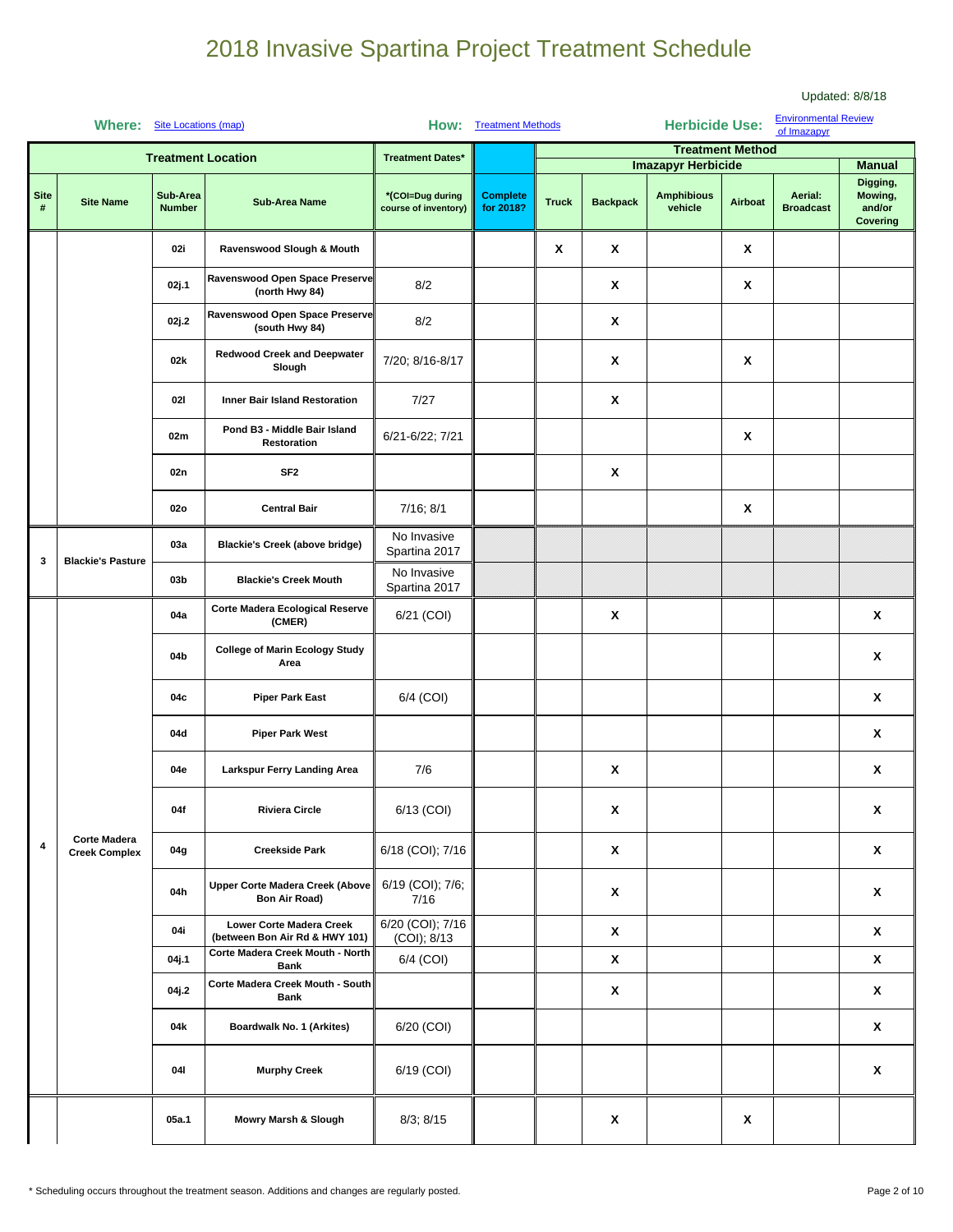| <b>Environmental Review</b><br><b>Herbicide Use:</b><br><b>Where:</b><br>Site Locations (map)<br><b>How:</b> Treatment Methods<br>of Imazapyr |                                             |                           |                                                            |                                          |                              |              |                           |                              |                         |                             |                                           |
|-----------------------------------------------------------------------------------------------------------------------------------------------|---------------------------------------------|---------------------------|------------------------------------------------------------|------------------------------------------|------------------------------|--------------|---------------------------|------------------------------|-------------------------|-----------------------------|-------------------------------------------|
|                                                                                                                                               |                                             |                           | <b>Treatment Location</b>                                  | <b>Treatment Dates*</b>                  |                              |              |                           | <b>Imazapyr Herbicide</b>    | <b>Treatment Method</b> |                             | <b>Manual</b>                             |
| <b>Site</b><br>#                                                                                                                              | <b>Site Name</b>                            | Sub-Area<br><b>Number</b> | <b>Sub-Area Name</b>                                       | *(COI=Dug during<br>course of inventory) | <b>Complete</b><br>for 2018? | <b>Truck</b> | <b>Backpack</b>           | <b>Amphibious</b><br>vehicle | Airboat                 | Aerial:<br><b>Broadcast</b> | Digging,<br>Mowing,<br>and/or<br>Covering |
|                                                                                                                                               |                                             | 02i                       | Ravenswood Slough & Mouth                                  |                                          |                              | X            | X                         |                              | X                       |                             |                                           |
|                                                                                                                                               |                                             | 02j.1                     | Ravenswood Open Space Preserve<br>(north Hwy 84)           | 8/2                                      |                              |              | X                         |                              | X                       |                             |                                           |
|                                                                                                                                               |                                             | 02j.2                     | Ravenswood Open Space Preserve<br>(south Hwy 84)           | 8/2                                      |                              |              | X                         |                              |                         |                             |                                           |
|                                                                                                                                               |                                             | 02k                       | <b>Redwood Creek and Deepwater</b><br>Slough               | 7/20; 8/16-8/17                          |                              |              | X                         |                              | X                       |                             |                                           |
|                                                                                                                                               |                                             | 021                       | Inner Bair Island Restoration                              | 7/27                                     |                              |              | X                         |                              |                         |                             |                                           |
|                                                                                                                                               |                                             | 02m                       | Pond B3 - Middle Bair Island<br>Restoration                | 6/21-6/22; 7/21                          |                              |              |                           |                              | X                       |                             |                                           |
|                                                                                                                                               |                                             | 02n                       | SF <sub>2</sub>                                            |                                          |                              |              | X                         |                              |                         |                             |                                           |
|                                                                                                                                               |                                             | 02o                       | <b>Central Bair</b>                                        | 7/16; 8/1                                |                              |              |                           |                              | X                       |                             |                                           |
| 3                                                                                                                                             | <b>Blackie's Pasture</b>                    | 03a                       | Blackie's Creek (above bridge)                             | No Invasive<br>Spartina 2017             |                              |              |                           |                              |                         |                             |                                           |
|                                                                                                                                               |                                             | 03 <sub>b</sub>           | <b>Blackie's Creek Mouth</b>                               | No Invasive<br>Spartina 2017             |                              |              |                           |                              |                         |                             |                                           |
|                                                                                                                                               |                                             | 04a                       | Corte Madera Ecological Reserve<br>(CMER)                  | 6/21 (COI)                               |                              |              | X                         |                              |                         |                             | X                                         |
|                                                                                                                                               |                                             | 04b                       | <b>College of Marin Ecology Study</b><br>Area              |                                          |                              |              |                           |                              |                         |                             | X                                         |
|                                                                                                                                               |                                             | 04c                       | <b>Piper Park East</b>                                     | 6/4 (COI)                                |                              |              |                           |                              |                         |                             | X                                         |
|                                                                                                                                               |                                             | 04d                       | <b>Piper Park West</b>                                     |                                          |                              |              |                           |                              |                         |                             | X                                         |
|                                                                                                                                               |                                             | 04e                       | Larkspur Ferry Landing Area                                | 7/6                                      |                              |              | X                         |                              |                         |                             | X                                         |
|                                                                                                                                               |                                             | 04f                       | <b>Riviera Circle</b>                                      | 6/13 (COI)                               |                              |              | x                         |                              |                         |                             | X                                         |
| $\pmb{4}$                                                                                                                                     | <b>Corte Madera</b><br><b>Creek Complex</b> | 04g                       | <b>Creekside Park</b>                                      | 6/18 (COI); 7/16                         |                              |              | $\mathbf{x}$              |                              |                         |                             | X                                         |
|                                                                                                                                               |                                             | 04h                       | <b>Upper Corte Madera Creek (Above</b><br>Bon Air Road)    | 6/19 (COI); 7/6;<br>7/16                 |                              |              | X                         |                              |                         |                             | X                                         |
|                                                                                                                                               |                                             | 04i                       | Lower Corte Madera Creek<br>(between Bon Air Rd & HWY 101) | 6/20 (COI); 7/16<br>(COI); 8/13          |                              |              | $\mathbf{x}$              |                              |                         |                             | X                                         |
|                                                                                                                                               |                                             | 04j.1                     | Corte Madera Creek Mouth - North<br><b>Bank</b>            | 6/4 (COI)                                |                              |              | $\pmb{\mathsf{X}}$        |                              |                         |                             | X                                         |
|                                                                                                                                               |                                             | 04j.2                     | Corte Madera Creek Mouth - South<br><b>Bank</b>            |                                          |                              |              | $\pmb{\mathsf{X}}$        |                              |                         |                             | $\pmb{\mathsf{X}}$                        |
|                                                                                                                                               |                                             | 04k                       | Boardwalk No. 1 (Arkites)                                  | 6/20 (COI)                               |                              |              |                           |                              |                         |                             | X                                         |
|                                                                                                                                               |                                             | 041                       | <b>Murphy Creek</b>                                        | 6/19 (COI)                               |                              |              |                           |                              |                         |                             | $\pmb{\mathsf{X}}$                        |
|                                                                                                                                               |                                             | 05a.1                     | Mowry Marsh & Slough                                       | 8/3; 8/15                                |                              |              | $\boldsymbol{\mathsf{x}}$ |                              | X                       |                             |                                           |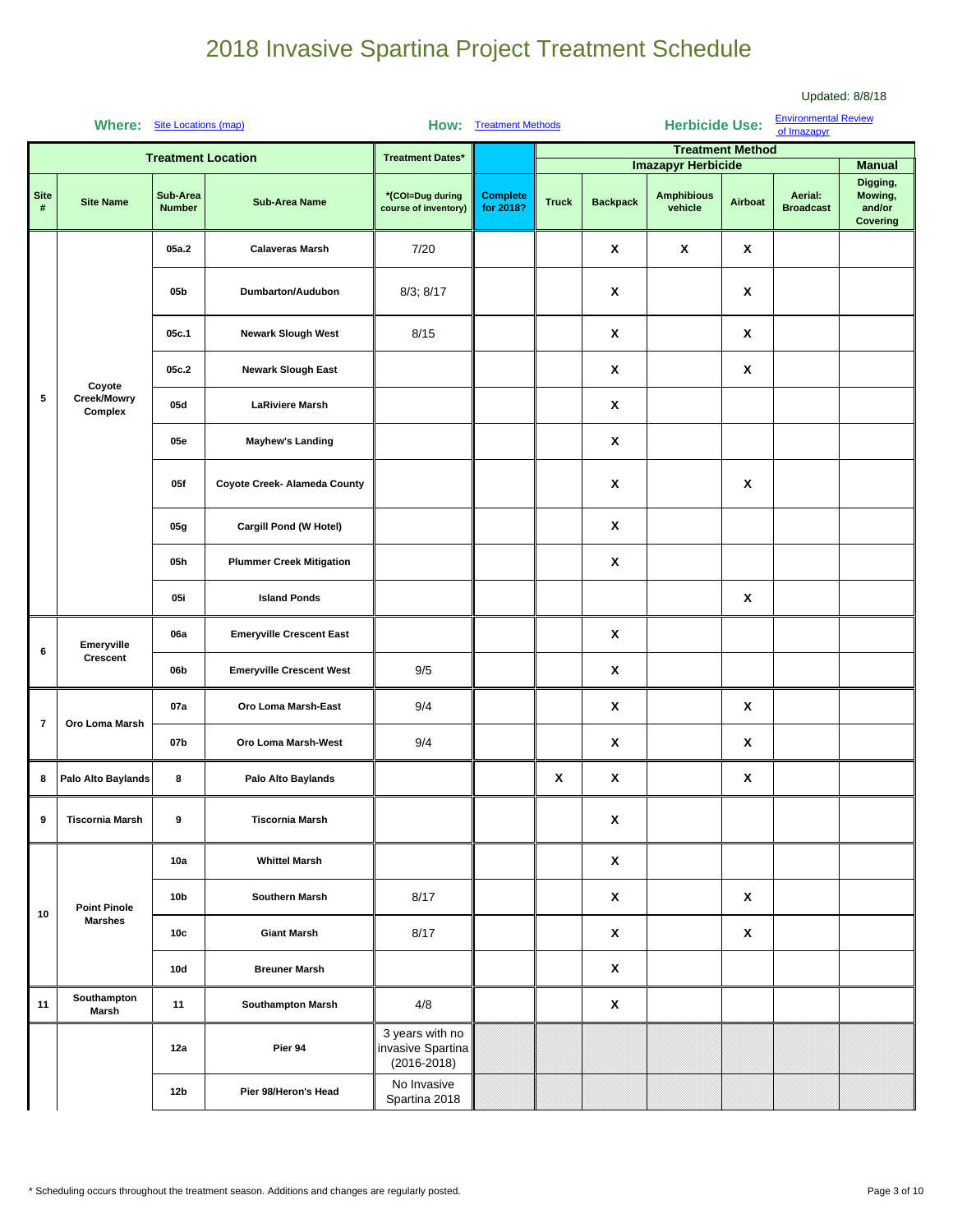|                     | Where:                 | Site Locations (map)      |                                 |                                                         | <b>How:</b> Treatment Methods |              |                    | <b>Herbicide Use:</b>                                     |                           | <b>Environmental Review</b><br>of Imazapyr |                                                                   |
|---------------------|------------------------|---------------------------|---------------------------------|---------------------------------------------------------|-------------------------------|--------------|--------------------|-----------------------------------------------------------|---------------------------|--------------------------------------------|-------------------------------------------------------------------|
|                     |                        |                           | <b>Treatment Location</b>       | <b>Treatment Dates*</b>                                 |                               |              |                    |                                                           | <b>Treatment Method</b>   |                                            |                                                                   |
| <b>Site</b><br>$\#$ | <b>Site Name</b>       | Sub-Area<br><b>Number</b> | <b>Sub-Area Name</b>            | *(COI=Dug during<br>course of inventory)                | <b>Complete</b><br>for 2018?  | <b>Truck</b> | <b>Backpack</b>    | <b>Imazapyr Herbicide</b><br><b>Amphibious</b><br>vehicle | Airboat                   | Aerial:<br><b>Broadcast</b>                | <b>Manual</b><br>Digging,<br>Mowing,<br>and/or<br><b>Covering</b> |
|                     |                        | 05a.2                     | <b>Calaveras Marsh</b>          | 7/20                                                    |                               |              | X                  | $\pmb{\chi}$                                              | $\pmb{\chi}$              |                                            |                                                                   |
|                     |                        | 05b                       | Dumbarton/Audubon               | 8/3; 8/17                                               |                               |              | X                  |                                                           | $\pmb{\mathsf{X}}$        |                                            |                                                                   |
|                     |                        | 05c.1                     | <b>Newark Slough West</b>       | 8/15                                                    |                               |              | X                  |                                                           | X                         |                                            |                                                                   |
|                     | Coyote                 | 05c.2                     | <b>Newark Slough East</b>       |                                                         |                               |              | X                  |                                                           | $\pmb{\mathsf{X}}$        |                                            |                                                                   |
| 5                   | Creek/Mowry<br>Complex | 05d                       | <b>LaRiviere Marsh</b>          |                                                         |                               |              | X                  |                                                           |                           |                                            |                                                                   |
|                     |                        | 05e                       | <b>Mayhew's Landing</b>         |                                                         |                               |              | X                  |                                                           |                           |                                            |                                                                   |
|                     |                        | 05f                       | Coyote Creek- Alameda County    |                                                         |                               |              | X                  |                                                           | X                         |                                            |                                                                   |
|                     |                        | 05g                       | Cargill Pond (W Hotel)          |                                                         |                               |              | X                  |                                                           |                           |                                            |                                                                   |
|                     |                        | 05h                       | <b>Plummer Creek Mitigation</b> |                                                         |                               |              | X                  |                                                           |                           |                                            |                                                                   |
|                     |                        | 05i                       | <b>Island Ponds</b>             |                                                         |                               |              |                    |                                                           | X                         |                                            |                                                                   |
| 6                   | Emeryville             | 06a                       | <b>Emeryville Crescent East</b> |                                                         |                               |              | X                  |                                                           |                           |                                            |                                                                   |
|                     | Crescent               | 06b                       | <b>Emeryville Crescent West</b> | 9/5                                                     |                               |              | X                  |                                                           |                           |                                            |                                                                   |
| $\overline{7}$      | Oro Loma Marsh         | 07a                       | Oro Loma Marsh-East             | 9/4                                                     |                               |              | $\pmb{\mathsf{x}}$ |                                                           | X                         |                                            |                                                                   |
|                     |                        | 07b                       | Oro Loma Marsh-West             | 9/4                                                     |                               |              | X                  |                                                           | X                         |                                            |                                                                   |
| 8                   | Palo Alto Baylands     | 8                         | Palo Alto Baylands              |                                                         |                               | X            | X                  |                                                           | X                         |                                            |                                                                   |
| 9                   | <b>Tiscornia Marsh</b> | 9                         | <b>Tiscornia Marsh</b>          |                                                         |                               |              | X                  |                                                           |                           |                                            |                                                                   |
|                     |                        | 10a                       | <b>Whittel Marsh</b>            |                                                         |                               |              | X                  |                                                           |                           |                                            |                                                                   |
| 10                  | <b>Point Pinole</b>    | 10 <sub>b</sub>           | Southern Marsh                  | 8/17                                                    |                               |              | X                  |                                                           | X                         |                                            |                                                                   |
|                     | <b>Marshes</b>         | 10c                       | <b>Giant Marsh</b>              | 8/17                                                    |                               |              | X                  |                                                           | $\boldsymbol{\mathsf{X}}$ |                                            |                                                                   |
|                     |                        | <b>10d</b>                | <b>Breuner Marsh</b>            |                                                         |                               |              | X                  |                                                           |                           |                                            |                                                                   |
| 11                  | Southampton<br>Marsh   | 11                        | <b>Southampton Marsh</b>        | 4/8                                                     |                               |              | X                  |                                                           |                           |                                            |                                                                   |
|                     |                        | 12a                       | Pier 94                         | 3 years with no<br>invasive Spartina<br>$(2016 - 2018)$ |                               |              |                    |                                                           |                           |                                            |                                                                   |
|                     |                        | 12 <sub>b</sub>           | Pier 98/Heron's Head            | No Invasive<br>Spartina 2018                            |                               |              |                    |                                                           |                           |                                            |                                                                   |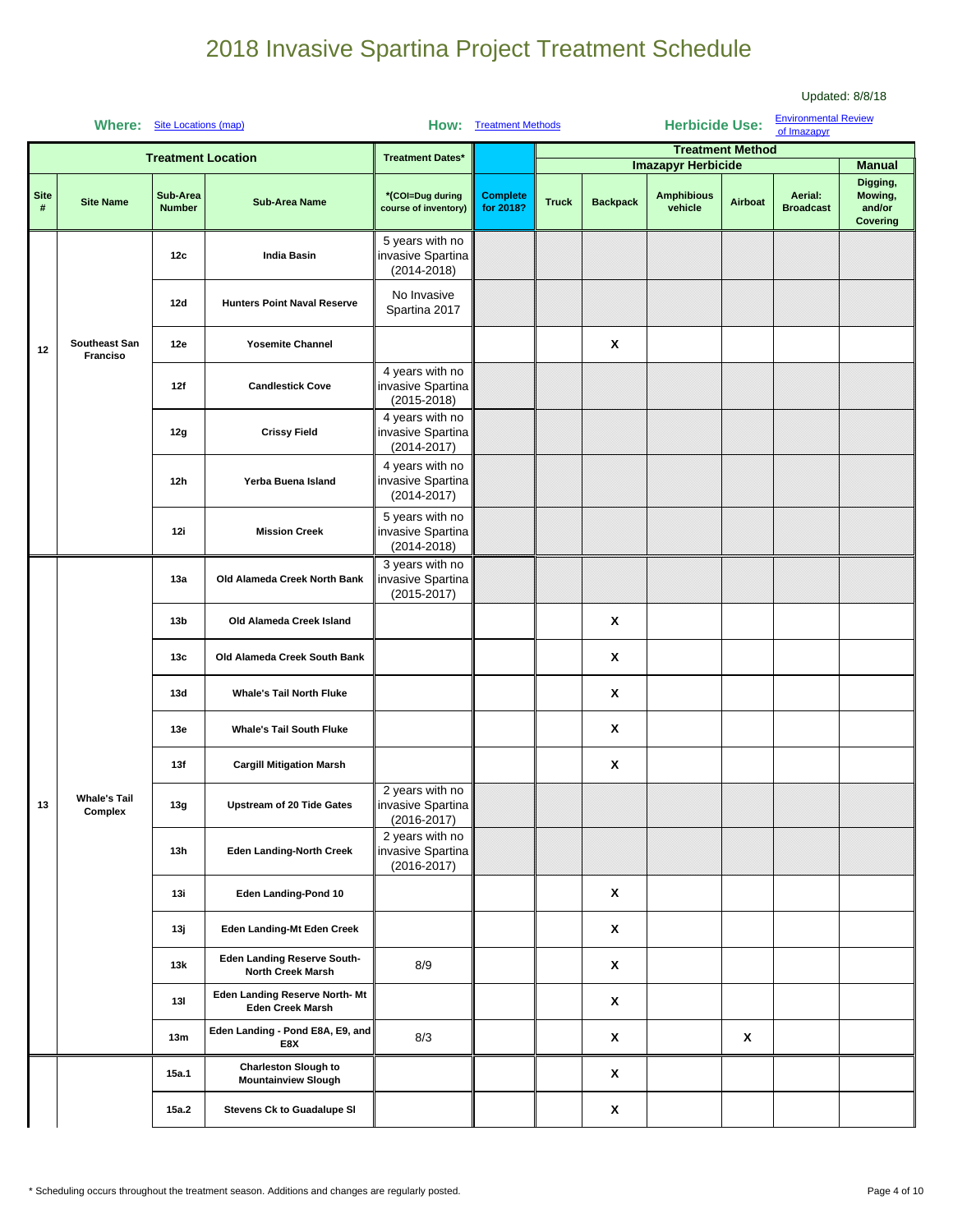|                  | <b>Where:</b>                  | <b>Site Locations (map)</b> |                                                           | How:                                                    | <b>Treatment Methods</b>     |              |                    | <b>Herbicide Use:</b>                                     |                         | <b>Environmental Review</b><br>of Imazapyr |                                                            |
|------------------|--------------------------------|-----------------------------|-----------------------------------------------------------|---------------------------------------------------------|------------------------------|--------------|--------------------|-----------------------------------------------------------|-------------------------|--------------------------------------------|------------------------------------------------------------|
|                  |                                |                             | <b>Treatment Location</b>                                 | <b>Treatment Dates*</b>                                 |                              |              |                    |                                                           | <b>Treatment Method</b> |                                            |                                                            |
| <b>Site</b><br># | <b>Site Name</b>               | Sub-Area<br><b>Number</b>   | <b>Sub-Area Name</b>                                      | *(COI=Dug during<br>course of inventory)                | <b>Complete</b><br>for 2018? | <b>Truck</b> | <b>Backpack</b>    | <b>Imazapyr Herbicide</b><br><b>Amphibious</b><br>vehicle | Airboat                 | Aerial:<br><b>Broadcast</b>                | <b>Manual</b><br>Digging,<br>Mowing,<br>and/or<br>Covering |
|                  |                                | 12c                         | <b>India Basin</b>                                        | 5 years with no<br>invasive Spartina<br>$(2014 - 2018)$ |                              |              |                    |                                                           |                         |                                            |                                                            |
|                  |                                | 12d                         | <b>Hunters Point Naval Reserve</b>                        | No Invasive<br>Spartina 2017                            |                              |              |                    |                                                           |                         |                                            |                                                            |
| 12               | Southeast San<br>Franciso      | 12e                         | <b>Yosemite Channel</b>                                   |                                                         |                              |              | χ                  |                                                           |                         |                                            |                                                            |
|                  |                                | 12f                         | <b>Candlestick Cove</b>                                   | 4 years with no<br>invasive Spartina<br>$(2015 - 2018)$ |                              |              |                    |                                                           |                         |                                            |                                                            |
|                  |                                | 12g                         | <b>Crissy Field</b>                                       | 4 years with no<br>invasive Spartina<br>$(2014 - 2017)$ |                              |              |                    |                                                           |                         |                                            |                                                            |
|                  |                                | 12h                         | Yerba Buena Island                                        | 4 years with no<br>invasive Spartina<br>$(2014 - 2017)$ |                              |              |                    |                                                           |                         |                                            |                                                            |
|                  |                                | 12i                         | <b>Mission Creek</b>                                      | 5 years with no<br>invasive Spartina<br>$(2014 - 2018)$ |                              |              |                    |                                                           |                         |                                            |                                                            |
|                  |                                | 13a                         | Old Alameda Creek North Bank                              | 3 years with no<br>invasive Spartina<br>$(2015 - 2017)$ |                              |              |                    |                                                           |                         |                                            |                                                            |
|                  |                                | 13 <sub>b</sub>             | Old Alameda Creek Island                                  |                                                         |                              |              | X                  |                                                           |                         |                                            |                                                            |
|                  |                                | 13c                         | Old Alameda Creek South Bank                              |                                                         |                              |              | X                  |                                                           |                         |                                            |                                                            |
|                  |                                | 13d                         | <b>Whale's Tail North Fluke</b>                           |                                                         |                              |              | X                  |                                                           |                         |                                            |                                                            |
|                  |                                | 13e                         | <b>Whale's Tail South Fluke</b>                           |                                                         |                              |              | X                  |                                                           |                         |                                            |                                                            |
|                  |                                | 13f                         | <b>Cargill Mitigation Marsh</b>                           |                                                         |                              |              | X                  |                                                           |                         |                                            |                                                            |
| 13               | <b>Whale's Tail</b><br>Complex | 13g                         | <b>Upstream of 20 Tide Gates</b>                          | 2 years with no<br>invasive Spartina<br>$(2016 - 2017)$ |                              |              |                    |                                                           |                         |                                            |                                                            |
|                  |                                | 13h                         | <b>Eden Landing-North Creek</b>                           | 2 years with no<br>invasive Spartina<br>$(2016 - 2017)$ |                              |              |                    |                                                           |                         |                                            |                                                            |
|                  |                                | 13i                         | Eden Landing-Pond 10                                      |                                                         |                              |              | X                  |                                                           |                         |                                            |                                                            |
|                  |                                | 13ј                         | Eden Landing-Mt Eden Creek                                |                                                         |                              |              | X                  |                                                           |                         |                                            |                                                            |
|                  |                                | 13k                         | <b>Eden Landing Reserve South-</b><br>North Creek Marsh   | 8/9                                                     |                              |              | $\mathbf{x}$       |                                                           |                         |                                            |                                                            |
|                  |                                | 13I                         | Eden Landing Reserve North- Mt<br><b>Eden Creek Marsh</b> |                                                         |                              |              | X                  |                                                           |                         |                                            |                                                            |
|                  |                                | 13m                         | Eden Landing - Pond E8A, E9, and<br>E8X                   | 8/3                                                     |                              |              | $\mathbf{x}$       |                                                           | X                       |                                            |                                                            |
|                  |                                | 15a.1                       | <b>Charleston Slough to</b><br><b>Mountainview Slough</b> |                                                         |                              |              | $\pmb{\mathsf{X}}$ |                                                           |                         |                                            |                                                            |
|                  |                                | 15a.2                       | <b>Stevens Ck to Guadalupe SI</b>                         |                                                         |                              |              | X                  |                                                           |                         |                                            |                                                            |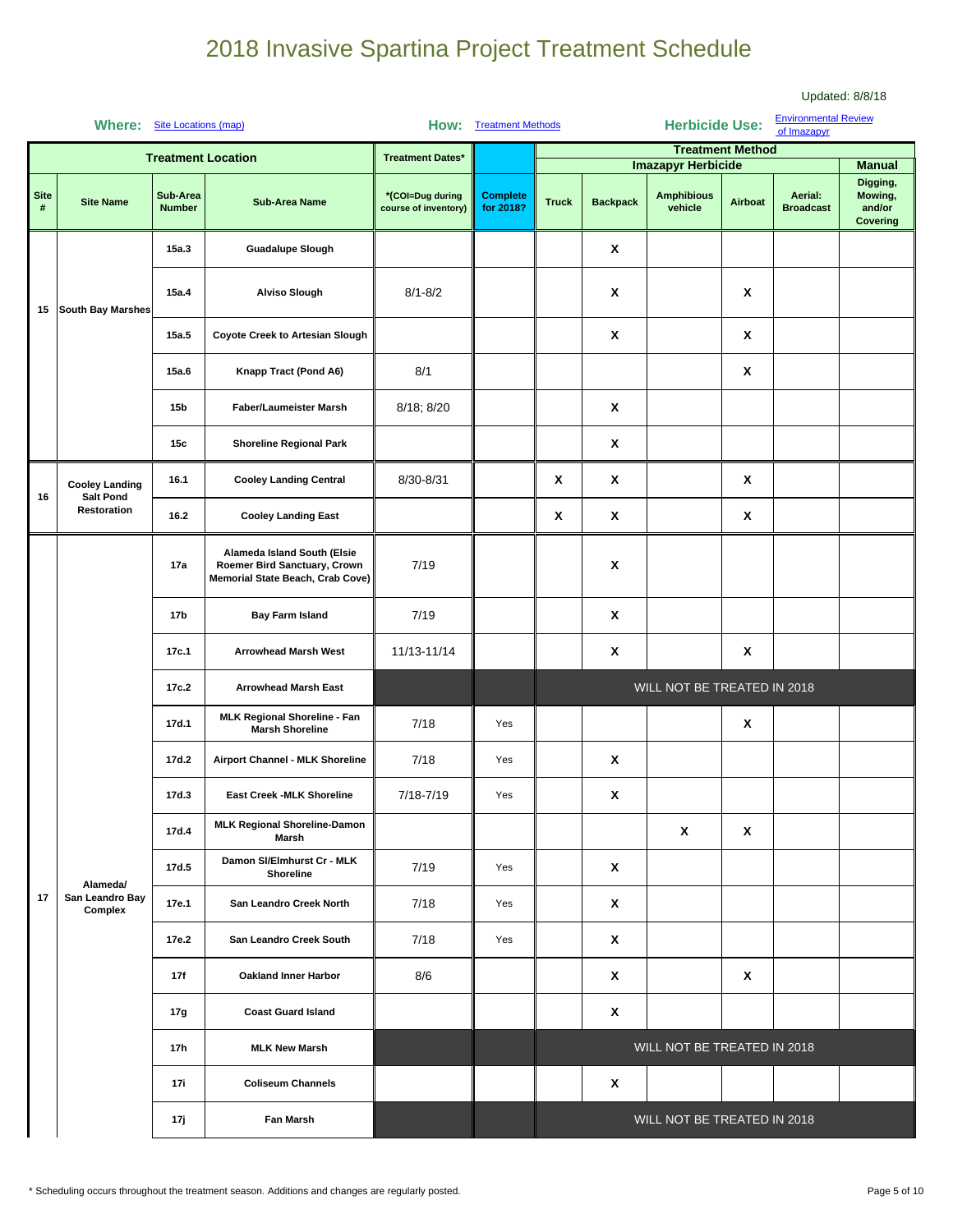|                  | Where:                                    | Site Locations (map)      |                                                                                                 |                                          | <b>How:</b> Treatment Methods |              |                    | <b>Herbicide Use:</b>        |                         | <b>Environmental Review</b><br>of Imazapyr |                                           |
|------------------|-------------------------------------------|---------------------------|-------------------------------------------------------------------------------------------------|------------------------------------------|-------------------------------|--------------|--------------------|------------------------------|-------------------------|--------------------------------------------|-------------------------------------------|
|                  |                                           |                           | <b>Treatment Location</b>                                                                       | <b>Treatment Dates*</b>                  |                               |              |                    | <b>Imazapyr Herbicide</b>    | <b>Treatment Method</b> |                                            | <b>Manual</b>                             |
| <b>Site</b><br># | <b>Site Name</b>                          | Sub-Area<br><b>Number</b> | <b>Sub-Area Name</b>                                                                            | *(COI=Dug during<br>course of inventory) | <b>Complete</b><br>for 2018?  | <b>Truck</b> | <b>Backpack</b>    | <b>Amphibious</b><br>vehicle | Airboat                 | Aerial:<br><b>Broadcast</b>                | Digging,<br>Mowing,<br>and/or<br>Covering |
|                  |                                           | 15a.3                     | <b>Guadalupe Slough</b>                                                                         |                                          |                               |              | $\pmb{\mathsf{x}}$ |                              |                         |                                            |                                           |
| 15               | <b>South Bay Marshes</b>                  | 15a.4                     | <b>Alviso Slough</b>                                                                            | $8/1 - 8/2$                              |                               |              | X                  |                              | X                       |                                            |                                           |
|                  |                                           | 15a.5                     | <b>Coyote Creek to Artesian Slough</b>                                                          |                                          |                               |              | $\pmb{\mathsf{X}}$ |                              | X                       |                                            |                                           |
|                  |                                           | 15a.6                     | Knapp Tract (Pond A6)                                                                           | 8/1                                      |                               |              |                    |                              | X                       |                                            |                                           |
|                  |                                           | 15b                       | Faber/Laumeister Marsh                                                                          | 8/18; 8/20                               |                               |              | X                  |                              |                         |                                            |                                           |
|                  |                                           | 15c                       | <b>Shoreline Regional Park</b>                                                                  |                                          |                               |              | X                  |                              |                         |                                            |                                           |
| 16               | <b>Cooley Landing</b><br><b>Salt Pond</b> | 16.1                      | <b>Cooley Landing Central</b>                                                                   | 8/30-8/31                                |                               | X            | X                  |                              | X                       |                                            |                                           |
|                  | Restoration                               | 16.2                      | <b>Cooley Landing East</b>                                                                      |                                          |                               | X            | X                  |                              | X                       |                                            |                                           |
|                  |                                           | 17a                       | Alameda Island South (Elsie<br>Roemer Bird Sanctuary, Crown<br>Memorial State Beach, Crab Cove) | 7/19                                     |                               |              | X                  |                              |                         |                                            |                                           |
|                  |                                           | 17b                       | <b>Bay Farm Island</b>                                                                          | 7/19                                     |                               |              | X                  |                              |                         |                                            |                                           |
|                  |                                           | 17c.1                     | <b>Arrowhead Marsh West</b>                                                                     | 11/13-11/14                              |                               |              | X                  |                              | Χ                       |                                            |                                           |
|                  |                                           | 17c.2                     | <b>Arrowhead Marsh East</b>                                                                     |                                          |                               |              |                    | WILL NOT BE TREATED IN 2018  |                         |                                            |                                           |
|                  |                                           | 17d.1                     | <b>MLK Regional Shoreline - Fan</b><br><b>Marsh Shoreline</b>                                   | 7/18                                     | Yes                           |              |                    |                              | X                       |                                            |                                           |
|                  |                                           | 17d.2                     | Airport Channel - MLK Shoreline                                                                 | 7/18                                     | Yes                           |              | X                  |                              |                         |                                            |                                           |
|                  |                                           | 17d.3                     | <b>East Creek -MLK Shoreline</b>                                                                | 7/18-7/19                                | Yes                           |              | $\pmb{\mathsf{X}}$ |                              |                         |                                            |                                           |
|                  |                                           | 17d.4                     | <b>MLK Regional Shoreline-Damon</b><br>Marsh                                                    |                                          |                               |              |                    | X                            | X                       |                                            |                                           |
|                  | Alameda/                                  | 17d.5                     | Damon SI/Elmhurst Cr - MLK<br>Shoreline                                                         | 7/19                                     | Yes                           |              | $\pmb{\mathsf{X}}$ |                              |                         |                                            |                                           |
| 17               | San Leandro Bay<br>Complex                | 17e.1                     | San Leandro Creek North                                                                         | 7/18                                     | Yes                           |              | X                  |                              |                         |                                            |                                           |
|                  |                                           | 17e.2                     | San Leandro Creek South                                                                         | 7/18                                     | Yes                           |              | X                  |                              |                         |                                            |                                           |
|                  |                                           | 17f                       | <b>Oakland Inner Harbor</b>                                                                     | 8/6                                      |                               |              | X                  |                              | X                       |                                            |                                           |
|                  |                                           | 17g                       | <b>Coast Guard Island</b>                                                                       |                                          |                               |              | $\pmb{\mathsf{X}}$ |                              |                         |                                            |                                           |
|                  |                                           | 17h                       | <b>MLK New Marsh</b>                                                                            |                                          |                               |              |                    | WILL NOT BE TREATED IN 2018  |                         |                                            |                                           |
|                  |                                           | 17i                       | <b>Coliseum Channels</b>                                                                        |                                          |                               |              | X                  |                              |                         |                                            |                                           |
|                  |                                           | 17 j                      | Fan Marsh                                                                                       |                                          |                               |              |                    | WILL NOT BE TREATED IN 2018  |                         |                                            |                                           |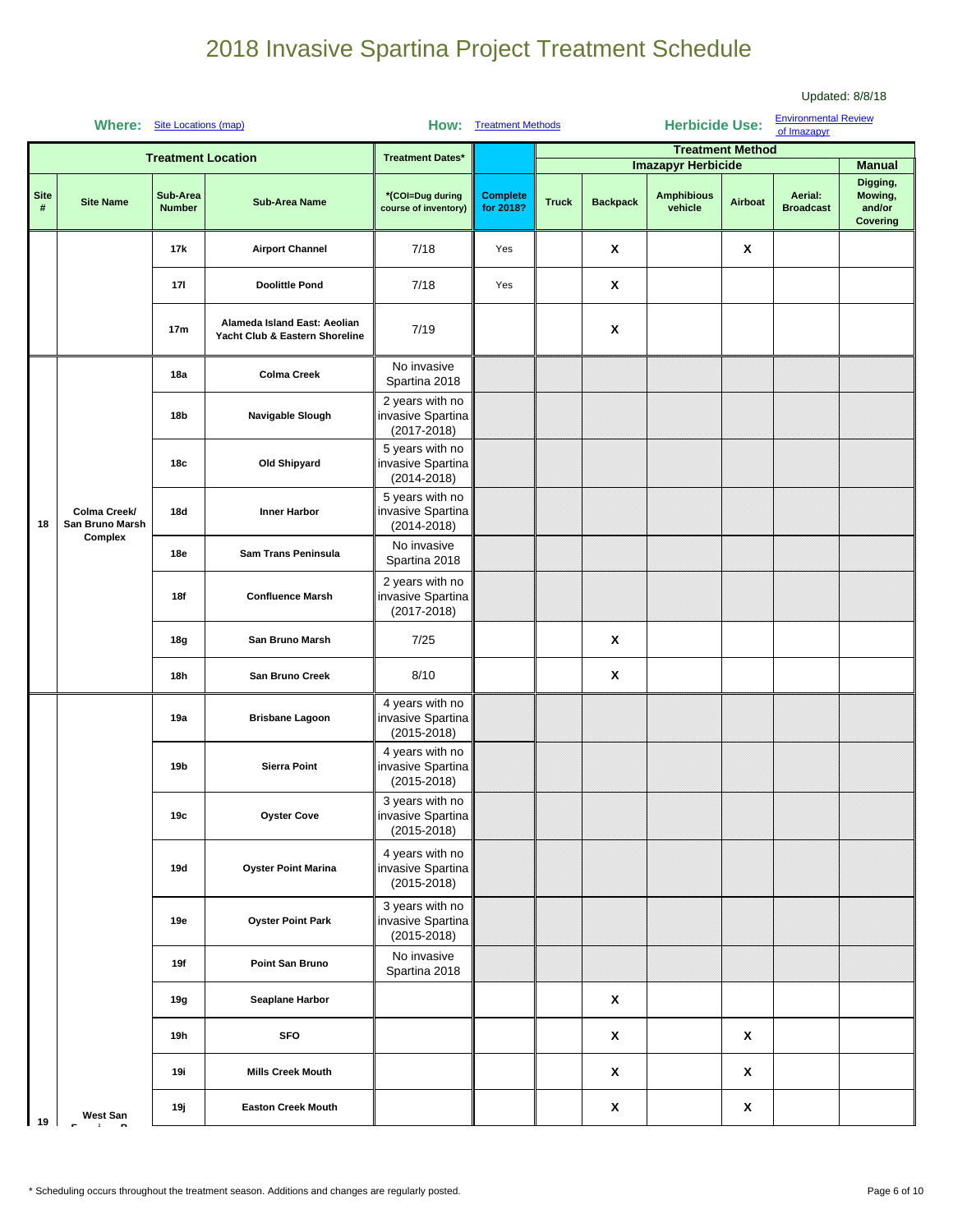|                  | Where: Site Locations (map)     |                           |                                                                |                                                         | <b>Environmental Review</b><br><b>Herbicide Use:</b><br><b>How:</b> Treatment Methods<br>of Imazapyr |              |                    |                                                      |         |                             |                                                  |
|------------------|---------------------------------|---------------------------|----------------------------------------------------------------|---------------------------------------------------------|------------------------------------------------------------------------------------------------------|--------------|--------------------|------------------------------------------------------|---------|-----------------------------|--------------------------------------------------|
|                  |                                 |                           | <b>Treatment Location</b>                                      | <b>Treatment Dates*</b>                                 |                                                                                                      |              |                    | <b>Treatment Method</b><br><b>Imazapyr Herbicide</b> |         |                             | <b>Manual</b>                                    |
| <b>Site</b><br># | <b>Site Name</b>                | Sub-Area<br><b>Number</b> | <b>Sub-Area Name</b>                                           | *(COI=Dug during<br>course of inventory)                | <b>Complete</b><br>for 2018?                                                                         | <b>Truck</b> | <b>Backpack</b>    | <b>Amphibious</b><br>vehicle                         | Airboat | Aerial:<br><b>Broadcast</b> | Digging,<br>Mowing,<br>and/or<br><b>Covering</b> |
|                  |                                 | 17k                       | <b>Airport Channel</b>                                         | 7/18                                                    | Yes                                                                                                  |              | X                  |                                                      | Χ       |                             |                                                  |
|                  |                                 | 171                       | <b>Doolittle Pond</b>                                          | 7/18                                                    | Yes                                                                                                  |              | $\pmb{\mathsf{x}}$ |                                                      |         |                             |                                                  |
|                  |                                 | 17 <sub>m</sub>           | Alameda Island East: Aeolian<br>Yacht Club & Eastern Shoreline | 7/19                                                    |                                                                                                      |              | X                  |                                                      |         |                             |                                                  |
|                  |                                 | 18a                       | <b>Colma Creek</b>                                             | No invasive<br>Spartina 2018                            |                                                                                                      |              |                    |                                                      |         |                             |                                                  |
|                  |                                 | 18b                       | Navigable Slough                                               | 2 years with no<br>invasive Spartina<br>$(2017 - 2018)$ |                                                                                                      |              |                    |                                                      |         |                             |                                                  |
|                  |                                 | 18с                       | Old Shipyard                                                   | 5 years with no<br>invasive Spartina<br>$(2014 - 2018)$ |                                                                                                      |              |                    |                                                      |         |                             |                                                  |
| 18               | Colma Creek/<br>San Bruno Marsh | 18d                       | Inner Harbor                                                   | 5 years with no<br>invasive Spartina<br>$(2014 - 2018)$ |                                                                                                      |              |                    |                                                      |         |                             |                                                  |
|                  | Complex                         | 18e                       | Sam Trans Peninsula                                            | No invasive<br>Spartina 2018                            |                                                                                                      |              |                    |                                                      |         |                             |                                                  |
|                  |                                 | 18f                       | <b>Confluence Marsh</b>                                        | 2 years with no<br>invasive Spartina<br>$(2017 - 2018)$ |                                                                                                      |              |                    |                                                      |         |                             |                                                  |
|                  |                                 | 18g                       | San Bruno Marsh                                                | 7/25                                                    |                                                                                                      |              | $\pmb{\mathsf{x}}$ |                                                      |         |                             |                                                  |
|                  |                                 | 18h                       | San Bruno Creek                                                | 8/10                                                    |                                                                                                      |              | $\pmb{\mathsf{x}}$ |                                                      |         |                             |                                                  |
|                  |                                 | 19a                       | <b>Brisbane Lagoon</b>                                         | 4 years with no<br>invasive Spartina<br>$(2015 - 2018)$ |                                                                                                      |              |                    |                                                      |         |                             |                                                  |
|                  |                                 | 19b                       | <b>Sierra Point</b>                                            | 4 years with no<br>invasive Spartina<br>$(2015 - 2018)$ |                                                                                                      |              |                    |                                                      |         |                             |                                                  |
|                  |                                 | 19c                       | <b>Oyster Cove</b>                                             | 3 years with no<br>invasive Spartina<br>$(2015 - 2018)$ |                                                                                                      |              |                    |                                                      |         |                             |                                                  |
|                  |                                 | 19d                       | <b>Oyster Point Marina</b>                                     | 4 years with no<br>invasive Spartina<br>$(2015 - 2018)$ |                                                                                                      |              |                    |                                                      |         |                             |                                                  |
|                  |                                 | 19e                       | <b>Oyster Point Park</b>                                       | 3 years with no<br>invasive Spartina<br>$(2015 - 2018)$ |                                                                                                      |              |                    |                                                      |         |                             |                                                  |
|                  |                                 | 19f                       | Point San Bruno                                                | No invasive<br>Spartina 2018                            |                                                                                                      |              |                    |                                                      |         |                             |                                                  |
|                  |                                 | 19g                       | Seaplane Harbor                                                |                                                         |                                                                                                      |              | $\pmb{\mathsf{x}}$ |                                                      |         |                             |                                                  |
|                  |                                 | 19h                       | <b>SFO</b>                                                     |                                                         |                                                                                                      |              | X                  |                                                      | X       |                             |                                                  |
|                  |                                 | 19i                       | <b>Mills Creek Mouth</b>                                       |                                                         |                                                                                                      |              | X                  |                                                      | X       |                             |                                                  |
| 19               | West San                        | 19ј                       | <b>Easton Creek Mouth</b>                                      |                                                         |                                                                                                      |              | X                  |                                                      | X       |                             |                                                  |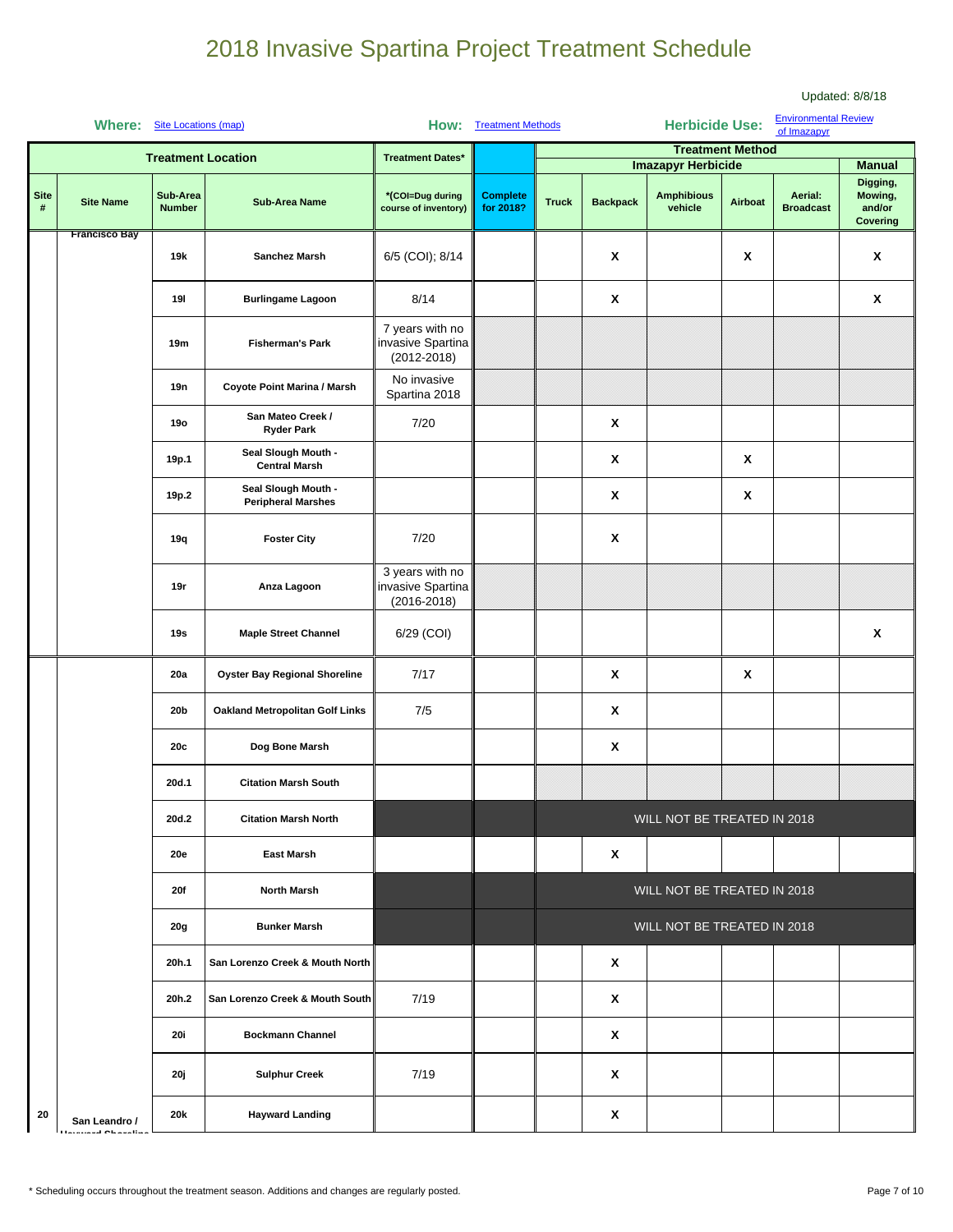|                  | Where: Site Locations (map)               |                           |                                                  |                                                         | <b>How:</b> Treatment Methods |              |                 | <b>Herbicide Use:</b>                                |                    | <b>Environmental Review</b><br>of Imazapyr |                                                  |
|------------------|-------------------------------------------|---------------------------|--------------------------------------------------|---------------------------------------------------------|-------------------------------|--------------|-----------------|------------------------------------------------------|--------------------|--------------------------------------------|--------------------------------------------------|
|                  |                                           |                           | <b>Treatment Location</b>                        | <b>Treatment Dates*</b>                                 |                               |              |                 | <b>Treatment Method</b><br><b>Imazapyr Herbicide</b> |                    |                                            | <b>Manual</b>                                    |
| <b>Site</b><br># | <b>Site Name</b><br><b>Francisco Bay</b>  | Sub-Area<br><b>Number</b> | <b>Sub-Area Name</b>                             | *(COI=Dug during<br>course of inventory)                | <b>Complete</b><br>for 2018?  | <b>Truck</b> | <b>Backpack</b> | <b>Amphibious</b><br>vehicle                         | Airboat            | Aerial:<br><b>Broadcast</b>                | Digging,<br>Mowing,<br>and/or<br><b>Covering</b> |
|                  |                                           | 19 <sub>k</sub>           | Sanchez Marsh                                    | 6/5 (COI); 8/14                                         |                               |              | X               |                                                      | $\pmb{\mathsf{x}}$ |                                            | X                                                |
|                  |                                           | 191                       | <b>Burlingame Lagoon</b>                         | 8/14                                                    |                               |              | X               |                                                      |                    |                                            | X                                                |
|                  |                                           | 19m                       | <b>Fisherman's Park</b>                          | 7 years with no<br>invasive Spartina<br>$(2012 - 2018)$ |                               |              |                 |                                                      |                    |                                            |                                                  |
|                  |                                           | 19n                       | Coyote Point Marina / Marsh                      | No invasive<br>Spartina 2018                            |                               |              |                 |                                                      |                    |                                            |                                                  |
|                  |                                           | <b>19o</b>                | San Mateo Creek /<br><b>Ryder Park</b>           | 7/20                                                    |                               |              | X               |                                                      |                    |                                            |                                                  |
|                  |                                           | 19p.1                     | Seal Slough Mouth -<br><b>Central Marsh</b>      |                                                         |                               |              | X               |                                                      | X                  |                                            |                                                  |
|                  |                                           | 19p.2                     | Seal Slough Mouth -<br><b>Peripheral Marshes</b> |                                                         |                               |              | X               |                                                      | X                  |                                            |                                                  |
|                  |                                           | 19q                       | <b>Foster City</b>                               | 7/20                                                    |                               |              | X               |                                                      |                    |                                            |                                                  |
|                  |                                           | 19r                       | Anza Lagoon                                      | 3 years with no<br>invasive Spartina<br>$(2016 - 2018)$ |                               |              |                 |                                                      |                    |                                            |                                                  |
|                  |                                           | 19s                       | <b>Maple Street Channel</b>                      | 6/29 (COI)                                              |                               |              |                 |                                                      |                    |                                            | X                                                |
|                  |                                           | 20a                       | <b>Oyster Bay Regional Shoreline</b>             | 7/17                                                    |                               |              | X               |                                                      | X                  |                                            |                                                  |
|                  |                                           | 20b                       | Oakland Metropolitan Golf Links                  | 7/5                                                     |                               |              | Χ               |                                                      |                    |                                            |                                                  |
|                  |                                           | 20c                       | Dog Bone Marsh                                   |                                                         |                               |              | X               |                                                      |                    |                                            |                                                  |
|                  |                                           | 20d.1                     | <b>Citation Marsh South</b>                      |                                                         |                               |              |                 |                                                      |                    |                                            |                                                  |
|                  |                                           | 20d.2                     | <b>Citation Marsh North</b>                      |                                                         |                               |              |                 | WILL NOT BE TREATED IN 2018                          |                    |                                            |                                                  |
|                  |                                           | <b>20e</b>                | <b>East Marsh</b>                                |                                                         |                               |              | X               |                                                      |                    |                                            |                                                  |
|                  |                                           | <b>20f</b>                | <b>North Marsh</b>                               |                                                         |                               |              |                 | WILL NOT BE TREATED IN 2018                          |                    |                                            |                                                  |
|                  |                                           | 20g                       | <b>Bunker Marsh</b>                              |                                                         |                               |              |                 | WILL NOT BE TREATED IN 2018                          |                    |                                            |                                                  |
|                  |                                           | 20h.1                     | San Lorenzo Creek & Mouth North                  |                                                         |                               |              | X               |                                                      |                    |                                            |                                                  |
|                  |                                           | 20h.2                     | San Lorenzo Creek & Mouth South                  | 7/19                                                    |                               |              | X               |                                                      |                    |                                            |                                                  |
|                  |                                           | <b>20i</b>                | <b>Bockmann Channel</b>                          |                                                         |                               |              | X               |                                                      |                    |                                            |                                                  |
|                  |                                           | 20 j                      | <b>Sulphur Creek</b>                             | 7/19                                                    |                               |              | X               |                                                      |                    |                                            |                                                  |
| 20               | San Leandro /<br><b>Harnmard Okazalia</b> | 20k                       | <b>Hayward Landing</b>                           |                                                         |                               |              | X               |                                                      |                    |                                            |                                                  |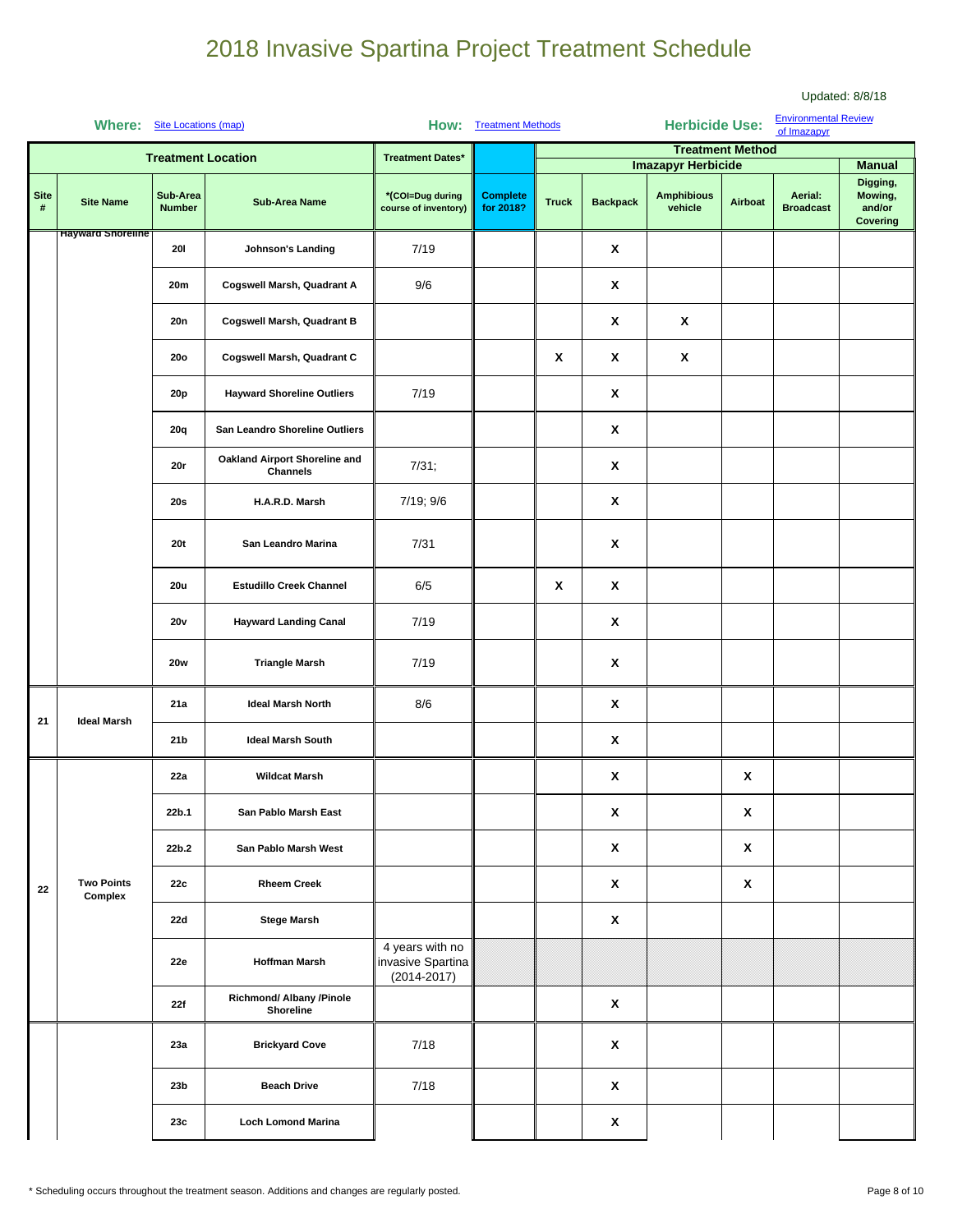|                     | Where: Site Locations (map)  |                           |                                                  |                                                         | <b>Environmental Review</b><br><b>Herbicide Use:</b><br>How: Treatment Methods<br>of Imazapyr |              |                    |                                                           |                           |                             |                                           |
|---------------------|------------------------------|---------------------------|--------------------------------------------------|---------------------------------------------------------|-----------------------------------------------------------------------------------------------|--------------|--------------------|-----------------------------------------------------------|---------------------------|-----------------------------|-------------------------------------------|
|                     |                              |                           | <b>Treatment Location</b>                        | <b>Treatment Dates*</b>                                 |                                                                                               |              |                    |                                                           | <b>Treatment Method</b>   |                             | <b>Manual</b>                             |
| <b>Site</b><br>$\#$ | <b>Site Name</b>             | Sub-Area<br><b>Number</b> | <b>Sub-Area Name</b>                             | *(COI=Dug during<br>course of inventory)                | <b>Complete</b><br>for 2018?                                                                  | <b>Truck</b> | <b>Backpack</b>    | <b>Imazapyr Herbicide</b><br><b>Amphibious</b><br>vehicle | Airboat                   | Aerial:<br><b>Broadcast</b> | Digging,<br>Mowing,<br>and/or<br>Covering |
|                     | <b>Hayward Shoreline</b>     | 201                       | Johnson's Landing                                | 7/19                                                    |                                                                                               |              | X                  |                                                           |                           |                             |                                           |
|                     |                              | 20m                       | Cogswell Marsh, Quadrant A                       | 9/6                                                     |                                                                                               |              | $\pmb{\mathsf{x}}$ |                                                           |                           |                             |                                           |
|                     |                              | 20n                       | <b>Cogswell Marsh, Quadrant B</b>                |                                                         |                                                                                               |              | X                  | X                                                         |                           |                             |                                           |
|                     |                              | <b>20o</b>                | Cogswell Marsh, Quadrant C                       |                                                         |                                                                                               | X            | X                  | X                                                         |                           |                             |                                           |
|                     |                              | 20 <sub>p</sub>           | <b>Hayward Shoreline Outliers</b>                | 7/19                                                    |                                                                                               |              | X                  |                                                           |                           |                             |                                           |
|                     |                              | 20q                       | San Leandro Shoreline Outliers                   |                                                         |                                                                                               |              | X                  |                                                           |                           |                             |                                           |
|                     |                              | 20r                       | Oakland Airport Shoreline and<br><b>Channels</b> | 7/31;                                                   |                                                                                               |              | $\pmb{\mathsf{X}}$ |                                                           |                           |                             |                                           |
|                     |                              | <b>20s</b>                | H.A.R.D. Marsh                                   | 7/19; 9/6                                               |                                                                                               |              | X                  |                                                           |                           |                             |                                           |
|                     |                              | <b>20t</b>                | San Leandro Marina                               | 7/31                                                    |                                                                                               |              | X                  |                                                           |                           |                             |                                           |
|                     |                              | <b>20u</b>                | <b>Estudillo Creek Channel</b>                   | 6/5                                                     |                                                                                               | X            | X                  |                                                           |                           |                             |                                           |
|                     |                              | 20v                       | <b>Hayward Landing Canal</b>                     | 7/19                                                    |                                                                                               |              | X                  |                                                           |                           |                             |                                           |
|                     |                              | <b>20w</b>                | <b>Triangle Marsh</b>                            | 7/19                                                    |                                                                                               |              | X                  |                                                           |                           |                             |                                           |
| 21                  | <b>Ideal Marsh</b>           | 21a                       | <b>Ideal Marsh North</b>                         | 8/6                                                     |                                                                                               |              | X                  |                                                           |                           |                             |                                           |
|                     |                              | 21 <sub>b</sub>           | <b>Ideal Marsh South</b>                         |                                                         |                                                                                               |              | X                  |                                                           |                           |                             |                                           |
|                     |                              | 22a                       | <b>Wildcat Marsh</b>                             |                                                         |                                                                                               |              | X                  |                                                           | X                         |                             |                                           |
|                     |                              | 22b.1                     | San Pablo Marsh East                             |                                                         |                                                                                               |              | x                  |                                                           | X                         |                             |                                           |
|                     |                              | 22b.2                     | San Pablo Marsh West                             |                                                         |                                                                                               |              | $\pmb{\mathsf{X}}$ |                                                           | $\boldsymbol{\mathsf{X}}$ |                             |                                           |
| 22                  | <b>Two Points</b><br>Complex | 22c                       | <b>Rheem Creek</b>                               |                                                         |                                                                                               |              | X                  |                                                           | $\boldsymbol{\mathsf{X}}$ |                             |                                           |
|                     |                              | 22d                       | <b>Stege Marsh</b>                               |                                                         |                                                                                               |              | X                  |                                                           |                           |                             |                                           |
|                     |                              | 22e                       | <b>Hoffman Marsh</b>                             | 4 years with no<br>invasive Spartina<br>$(2014 - 2017)$ |                                                                                               |              |                    |                                                           |                           |                             |                                           |
|                     |                              | 22f                       | Richmond/ Albany /Pinole<br>Shoreline            |                                                         |                                                                                               |              | $\pmb{\mathsf{X}}$ |                                                           |                           |                             |                                           |
|                     |                              | 23a                       | <b>Brickyard Cove</b>                            | 7/18                                                    |                                                                                               |              | X                  |                                                           |                           |                             |                                           |
|                     |                              | 23 <sub>b</sub>           | <b>Beach Drive</b>                               | 7/18                                                    |                                                                                               |              | X                  |                                                           |                           |                             |                                           |
|                     |                              | 23c                       | <b>Loch Lomond Marina</b>                        |                                                         |                                                                                               |              | $\pmb{\mathsf{x}}$ |                                                           |                           |                             |                                           |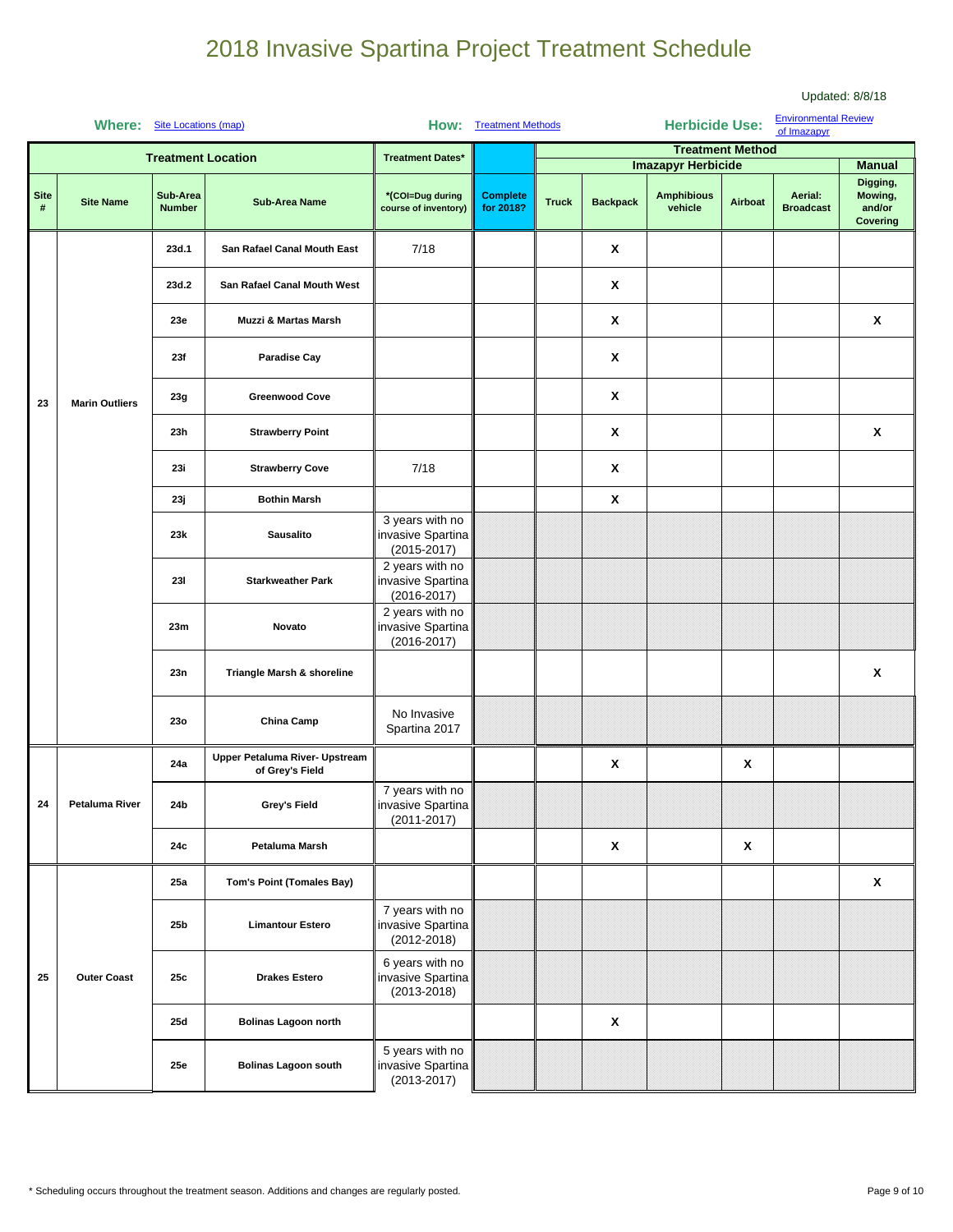|                  | <b>Where:</b> Site Locations (map) |                           |                                                   |                                                         | <b>How:</b> Treatment Methods | <b>Environmental Review</b><br><b>Herbicide Use:</b><br>of Imazapyr |                 |                              |                         |                             |                                           |
|------------------|------------------------------------|---------------------------|---------------------------------------------------|---------------------------------------------------------|-------------------------------|---------------------------------------------------------------------|-----------------|------------------------------|-------------------------|-----------------------------|-------------------------------------------|
|                  |                                    |                           | <b>Treatment Location</b>                         | <b>Treatment Dates*</b>                                 |                               |                                                                     |                 |                              | <b>Treatment Method</b> |                             |                                           |
|                  |                                    |                           |                                                   |                                                         |                               |                                                                     |                 | <b>Imazapyr Herbicide</b>    |                         |                             | <b>Manual</b>                             |
| <b>Site</b><br># | <b>Site Name</b>                   | Sub-Area<br><b>Number</b> | <b>Sub-Area Name</b>                              | *(COI=Dug during<br>course of inventory)                | <b>Complete</b><br>for 2018?  | <b>Truck</b>                                                        | <b>Backpack</b> | <b>Amphibious</b><br>vehicle | Airboat                 | Aerial:<br><b>Broadcast</b> | Digging,<br>Mowing,<br>and/or<br>Covering |
|                  |                                    | 23d.1                     | San Rafael Canal Mouth East                       | 7/18                                                    |                               |                                                                     | X               |                              |                         |                             |                                           |
|                  |                                    | 23d.2                     | San Rafael Canal Mouth West                       |                                                         |                               |                                                                     | Χ               |                              |                         |                             |                                           |
|                  |                                    | 23e                       | <b>Muzzi &amp; Martas Marsh</b>                   |                                                         |                               |                                                                     | X               |                              |                         |                             | X                                         |
|                  |                                    | 23f                       | <b>Paradise Cay</b>                               |                                                         |                               |                                                                     | X               |                              |                         |                             |                                           |
| 23               | <b>Marin Outliers</b>              | 23g                       | <b>Greenwood Cove</b>                             |                                                         |                               |                                                                     | X               |                              |                         |                             |                                           |
|                  |                                    | 23h                       | <b>Strawberry Point</b>                           |                                                         |                               |                                                                     | X               |                              |                         |                             | X                                         |
|                  |                                    | 23i                       | <b>Strawberry Cove</b>                            | 7/18                                                    |                               |                                                                     | X               |                              |                         |                             |                                           |
|                  |                                    | 23ј                       | <b>Bothin Marsh</b>                               |                                                         |                               |                                                                     | X               |                              |                         |                             |                                           |
|                  |                                    | 23k                       | <b>Sausalito</b>                                  | 3 years with no<br>invasive Spartina<br>$(2015 - 2017)$ |                               |                                                                     |                 |                              |                         |                             |                                           |
|                  |                                    | 231                       | <b>Starkweather Park</b>                          | 2 years with no<br>invasive Spartina<br>$(2016 - 2017)$ |                               |                                                                     |                 |                              |                         |                             |                                           |
|                  |                                    | 23m                       | Novato                                            | 2 years with no<br>invasive Spartina<br>$(2016 - 2017)$ |                               |                                                                     |                 |                              |                         |                             |                                           |
|                  |                                    | 23n                       | Triangle Marsh & shoreline                        |                                                         |                               |                                                                     |                 |                              |                         |                             | X                                         |
|                  |                                    | 23o                       | China Camp                                        | No Invasive<br>Spartina 2017                            |                               |                                                                     |                 |                              |                         |                             |                                           |
|                  |                                    | 24a                       | Upper Petaluma River- Upstream<br>of Grey's Field |                                                         |                               |                                                                     | X               |                              | $\pmb{\chi}$            |                             |                                           |
| 24               | <b>Petaluma River</b>              | 24b                       | Grey's Field                                      | 7 years with no<br>invasive Spartina<br>$(2011 - 2017)$ |                               |                                                                     |                 |                              |                         |                             |                                           |
|                  |                                    | 24c                       | Petaluma Marsh                                    |                                                         |                               |                                                                     | X               |                              | X                       |                             |                                           |
|                  |                                    | 25a                       | <b>Tom's Point (Tomales Bay)</b>                  |                                                         |                               |                                                                     |                 |                              |                         |                             | X                                         |
|                  |                                    | 25b                       | <b>Limantour Estero</b>                           | 7 years with no<br>invasive Spartina<br>$(2012 - 2018)$ |                               |                                                                     |                 |                              |                         |                             |                                           |
| 25               | <b>Outer Coast</b>                 | 25c                       | <b>Drakes Estero</b>                              | 6 years with no<br>invasive Spartina<br>$(2013 - 2018)$ |                               |                                                                     |                 |                              |                         |                             |                                           |
|                  |                                    | 25d                       | <b>Bolinas Lagoon north</b>                       |                                                         |                               |                                                                     | X               |                              |                         |                             |                                           |
|                  |                                    | 25e                       | <b>Bolinas Lagoon south</b>                       | 5 years with no<br>invasive Spartina<br>$(2013 - 2017)$ |                               |                                                                     |                 |                              |                         |                             |                                           |